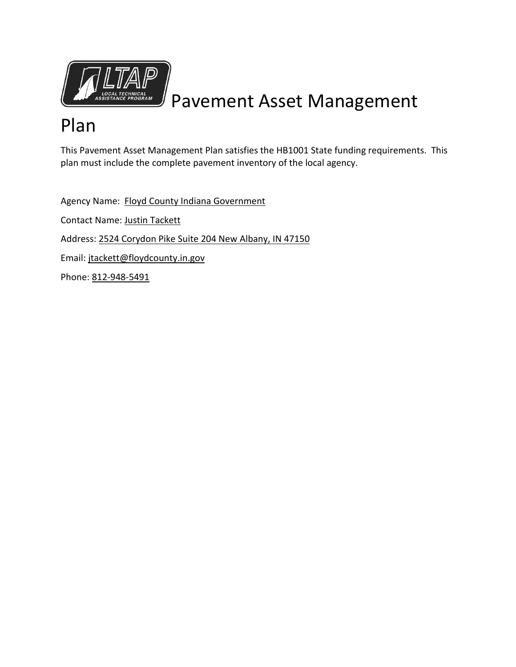

# Pavement Asset Management

## Plan

This Pavement Asset Management Plan satisfies the HB1001 State funding requirements. This plan must include the complete pavement inventory of the local agency.

Agency Name: Floyd County Indiana Government Contact Name: Justin Tackett Address: 2524 Corydon Pike Suite 204 New Albany, IN 47150 Email: jtackett@floydcounty.in.gov Phone: 812-948-5491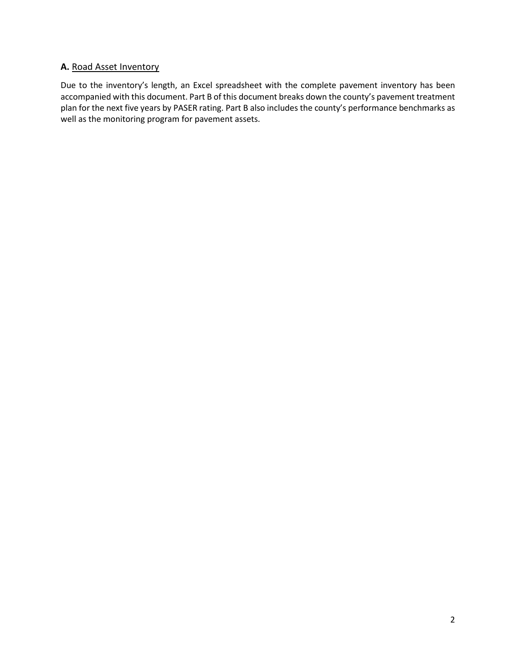## **A.** Road Asset Inventory

Due to the inventory's length, an Excel spreadsheet with the complete pavement inventory has been accompanied with this document. Part B of this document breaks down the county's pavement treatment plan for the next five years by PASER rating. Part B also includes the county's performance benchmarks as well as the monitoring program for pavement assets.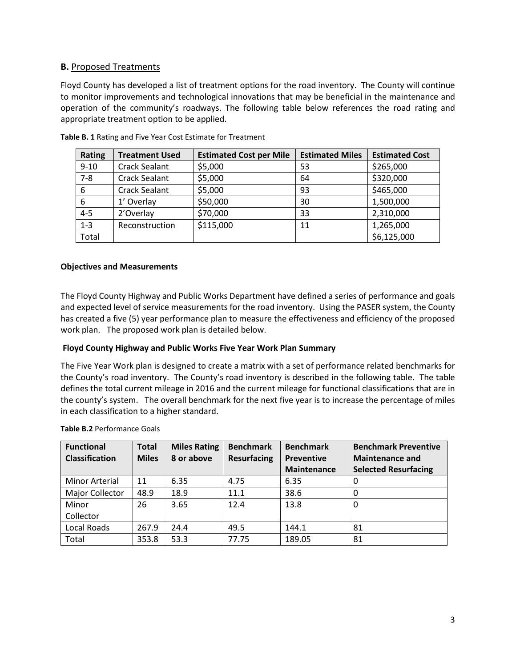## **B.** Proposed Treatments

Floyd County has developed a list of treatment options for the road inventory. The County will continue to monitor improvements and technological innovations that may be beneficial in the maintenance and operation of the community's roadways. The following table below references the road rating and appropriate treatment option to be applied.

| <b>Rating</b> | <b>Treatment Used</b> | <b>Estimated Cost per Mile</b> | <b>Estimated Miles</b> | <b>Estimated Cost</b> |
|---------------|-----------------------|--------------------------------|------------------------|-----------------------|
| $9 - 10$      | <b>Crack Sealant</b>  | \$5,000                        | 53                     | \$265,000             |
| $7 - 8$       | <b>Crack Sealant</b>  | \$5,000                        | 64                     | \$320,000             |
| 6             | <b>Crack Sealant</b>  | \$5,000                        | 93                     | \$465,000             |
| 6             | 1' Overlay            | \$50,000                       | 30                     | 1,500,000             |
| $4 - 5$       | 2'Overlay             | \$70,000                       | 33                     | 2,310,000             |
| $1 - 3$       | Reconstruction        | \$115,000                      | 11                     | 1,265,000             |
| Total         |                       |                                |                        | \$6,125,000           |

**Table B. 1** Rating and Five Year Cost Estimate for Treatment

#### **Objectives and Measurements**

The Floyd County Highway and Public Works Department have defined a series of performance and goals and expected level of service measurements for the road inventory. Using the PASER system, the County has created a five (5) year performance plan to measure the effectiveness and efficiency of the proposed work plan. The proposed work plan is detailed below.

#### **Floyd County Highway and Public Works Five Year Work Plan Summary**

The Five Year Work plan is designed to create a matrix with a set of performance related benchmarks for the County's road inventory. The County's road inventory is described in the following table. The table defines the total current mileage in 2016 and the current mileage for functional classifications that are in the county's system. The overall benchmark for the next five year is to increase the percentage of miles in each classification to a higher standard.

| <b>Functional</b><br><b>Classification</b> | <b>Total</b><br><b>Miles</b> | <b>Miles Rating</b><br>8 or above | <b>Benchmark</b><br><b>Resurfacing</b> | <b>Benchmark</b><br><b>Preventive</b><br><b>Maintenance</b> | <b>Benchmark Preventive</b><br><b>Maintenance and</b><br><b>Selected Resurfacing</b> |
|--------------------------------------------|------------------------------|-----------------------------------|----------------------------------------|-------------------------------------------------------------|--------------------------------------------------------------------------------------|
| <b>Minor Arterial</b>                      | 11                           | 6.35                              | 4.75                                   | 6.35                                                        | 0                                                                                    |
| Major Collector                            | 48.9                         | 18.9                              | 11.1                                   | 38.6                                                        | 0                                                                                    |
| Minor                                      | 26                           | 3.65                              | 12.4                                   | 13.8                                                        | $\Omega$                                                                             |
| Collector                                  |                              |                                   |                                        |                                                             |                                                                                      |
| Local Roads                                | 267.9                        | 24.4                              | 49.5                                   | 144.1                                                       | 81                                                                                   |
| Total                                      | 353.8                        | 53.3                              | 77.75                                  | 189.05                                                      | 81                                                                                   |

**Table B.2** Performance Goals